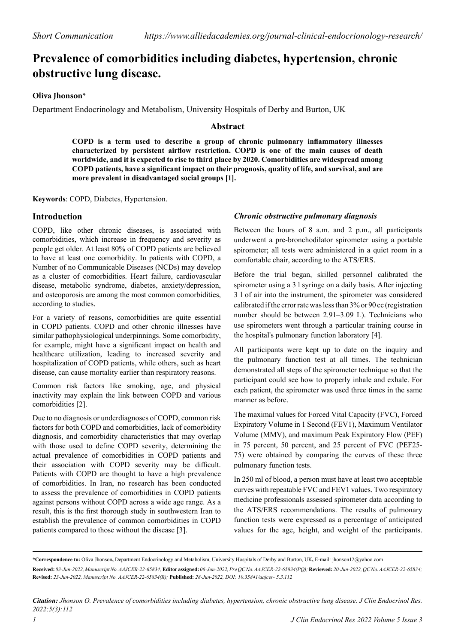# **Prevalence of comorbidities including diabetes, hypertension, chronic obstructive lung disease.**

## **Oliva Jhonson\***

Department Endocrinology and Metabolism, University Hospitals of Derby and Burton, UK

## **Abstract**

**COPD is a term used to describe a group of chronic pulmonary inflammatory illnesses characterized by persistent airflow restriction. COPD is one of the main causes of death worldwide, and it is expected to rise to third place by 2020. Comorbidities are widespread among COPD patients, have a significant impact on their prognosis, quality of life, and survival, and are more prevalent in disadvantaged social groups [1].**

**Keywords**: COPD, Diabetes, Hypertension.

## **Introduction**

COPD, like other chronic diseases, is associated with comorbidities, which increase in frequency and severity as people get older. At least 80% of COPD patients are believed to have at least one comorbidity. In patients with COPD, a Number of no Communicable Diseases (NCDs) may develop as a cluster of comorbidities. Heart failure, cardiovascular disease, metabolic syndrome, diabetes, anxiety/depression, and osteoporosis are among the most common comorbidities, according to studies.

For a variety of reasons, comorbidities are quite essential in COPD patients. COPD and other chronic illnesses have similar pathophysiological underpinnings. Some comorbidity, for example, might have a significant impact on health and healthcare utilization, leading to increased severity and hospitalization of COPD patients, while others, such as heart disease, can cause mortality earlier than respiratory reasons.

Common risk factors like smoking, age, and physical inactivity may explain the link between COPD and various comorbidities [2].

Due to no diagnosis or underdiagnoses of COPD, common risk factors for both COPD and comorbidities, lack of comorbidity diagnosis, and comorbidity characteristics that may overlap with those used to define COPD severity, determining the actual prevalence of comorbidities in COPD patients and their association with COPD severity may be difficult. Patients with COPD are thought to have a high prevalence of comorbidities. In Iran, no research has been conducted to assess the prevalence of comorbidities in COPD patients against persons without COPD across a wide age range. As a result, this is the first thorough study in southwestern Iran to establish the prevalence of common comorbidities in COPD patients compared to those without the disease [3].

#### *Chronic obstructive pulmonary diagnosis*

Between the hours of 8 a.m. and 2 p.m., all participants underwent a pre-bronchodilator spirometer using a portable spirometer; all tests were administered in a quiet room in a comfortable chair, according to the ATS/ERS.

Before the trial began, skilled personnel calibrated the spirometer using a 3 l syringe on a daily basis. After injecting 3 l of air into the instrument, the spirometer was considered calibrated if the error rate was less than 3% or 90 cc (registration number should be between 2.91–3.09 L). Technicians who use spirometers went through a particular training course in the hospital's pulmonary function laboratory [4].

All participants were kept up to date on the inquiry and the pulmonary function test at all times. The technician demonstrated all steps of the spirometer technique so that the participant could see how to properly inhale and exhale. For each patient, the spirometer was used three times in the same manner as before.

The maximal values for Forced Vital Capacity (FVC), Forced Expiratory Volume in 1 Second (FEV1), Maximum Ventilator Volume (MMV), and maximum Peak Expiratory Flow (PEF) in 75 percent, 50 percent, and 25 percent of FVC (PEF25- 75) were obtained by comparing the curves of these three pulmonary function tests.

In 250 ml of blood, a person must have at least two acceptable curves with repeatable FVC and FEV1 values. Two respiratory medicine professionals assessed spirometer data according to the ATS/ERS recommendations. The results of pulmonary function tests were expressed as a percentage of anticipated values for the age, height, and weight of the participants.

**\*Correspondence to:** Oliva Jhonson**,** Department Endocrinology and Metabolism, University Hospitals of Derby and Burton, UK**,** E-mail: jhonson12@yahoo.com **Received:** *03-Jun-2022, Manuscript No. AAJCER-22-65834;* **Editor assigned:** *06-Jun-2022, Pre QC No. AAJCER-22-65834(PQ);* **Reviewed:** *20-Jun-2022, QC No. AAJCER-22-65834;*  **Revised:** *23-Jun-2022, Manuscript No. AAJCER-22-65834(R);* **Published:** *28-Jun-2022, DOI: 10.35841/aajcer- 5.3.112*

*Citation: Jhonson O. Prevalence of comorbidities including diabetes, hypertension, chronic obstructive lung disease. J Clin Endocrinol Res. 2022;5(3):112*